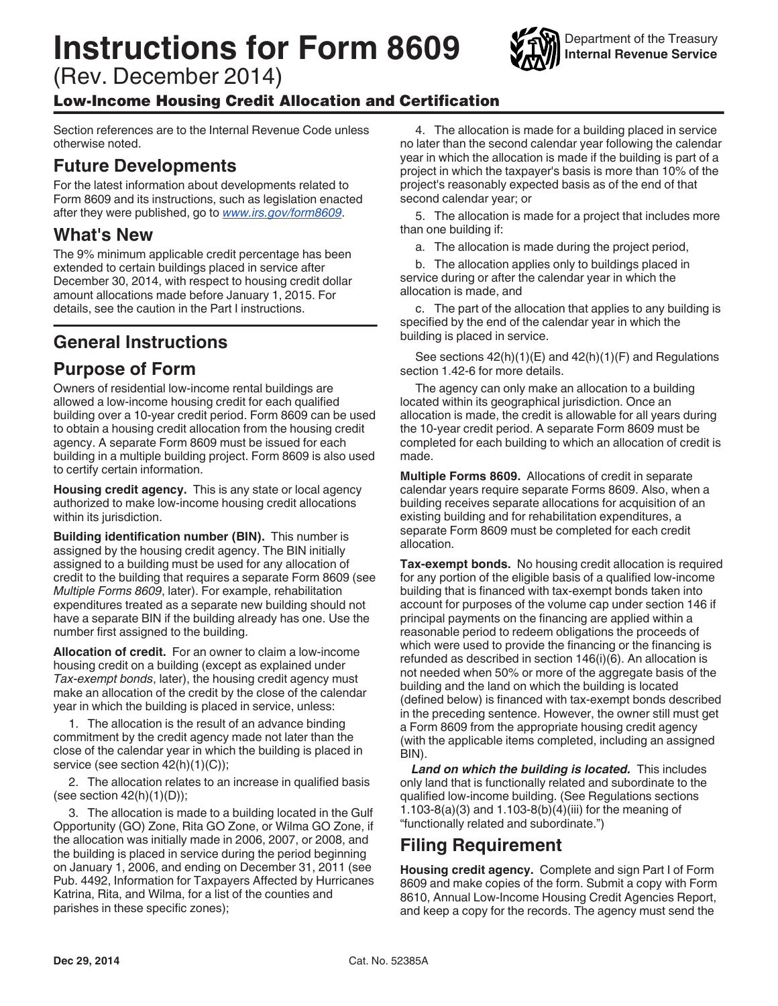# **Instructions for Form 8609**

(Rev. December 2014)

#### Low-Income Housing Credit Allocation and Certification

Section references are to the Internal Revenue Code unless otherwise noted.

#### **Future Developments**

For the latest information about developments related to Form 8609 and its instructions, such as legislation enacted after they were published, go to *[www.irs.gov/form8609](http://www.irs.gov/form8609)*.

#### **What's New**

The 9% minimum applicable credit percentage has been extended to certain buildings placed in service after December 30, 2014, with respect to housing credit dollar amount allocations made before January 1, 2015. For details, see the caution in the Part I instructions.

### **General Instructions**

#### **Purpose of Form**

Owners of residential low-income rental buildings are allowed a low-income housing credit for each qualified building over a 10-year credit period. Form 8609 can be used to obtain a housing credit allocation from the housing credit agency. A separate Form 8609 must be issued for each building in a multiple building project. Form 8609 is also used to certify certain information.

**Housing credit agency.** This is any state or local agency authorized to make low-income housing credit allocations within its jurisdiction.

**Building identification number (BIN).** This number is assigned by the housing credit agency. The BIN initially assigned to a building must be used for any allocation of credit to the building that requires a separate Form 8609 (see *Multiple Forms 8609*, later). For example, rehabilitation expenditures treated as a separate new building should not have a separate BIN if the building already has one. Use the number first assigned to the building.

**Allocation of credit.** For an owner to claim a low-income housing credit on a building (except as explained under *Tax-exempt bonds*, later), the housing credit agency must make an allocation of the credit by the close of the calendar year in which the building is placed in service, unless:

1. The allocation is the result of an advance binding commitment by the credit agency made not later than the close of the calendar year in which the building is placed in service (see section 42(h)(1)(C));

2. The allocation relates to an increase in qualified basis (see section  $42(h)(1)(D)$ );

3. The allocation is made to a building located in the Gulf Opportunity (GO) Zone, Rita GO Zone, or Wilma GO Zone, if the allocation was initially made in 2006, 2007, or 2008, and the building is placed in service during the period beginning on January 1, 2006, and ending on December 31, 2011 (see Pub. 4492, Information for Taxpayers Affected by Hurricanes Katrina, Rita, and Wilma, for a list of the counties and parishes in these specific zones);

4. The allocation is made for a building placed in service no later than the second calendar year following the calendar year in which the allocation is made if the building is part of a project in which the taxpayer's basis is more than 10% of the project's reasonably expected basis as of the end of that second calendar year; or

5. The allocation is made for a project that includes more than one building if:

a. The allocation is made during the project period,

b. The allocation applies only to buildings placed in service during or after the calendar year in which the allocation is made, and

c. The part of the allocation that applies to any building is specified by the end of the calendar year in which the building is placed in service.

See sections 42(h)(1)(E) and 42(h)(1)(F) and Regulations section 1.42-6 for more details.

The agency can only make an allocation to a building located within its geographical jurisdiction. Once an allocation is made, the credit is allowable for all years during the 10-year credit period. A separate Form 8609 must be completed for each building to which an allocation of credit is made.

**Multiple Forms 8609.** Allocations of credit in separate calendar years require separate Forms 8609. Also, when a building receives separate allocations for acquisition of an existing building and for rehabilitation expenditures, a separate Form 8609 must be completed for each credit allocation.

**Tax-exempt bonds.** No housing credit allocation is required for any portion of the eligible basis of a qualified low-income building that is financed with tax-exempt bonds taken into account for purposes of the volume cap under section 146 if principal payments on the financing are applied within a reasonable period to redeem obligations the proceeds of which were used to provide the financing or the financing is refunded as described in section 146(i)(6). An allocation is not needed when 50% or more of the aggregate basis of the building and the land on which the building is located (defined below) is financed with tax-exempt bonds described in the preceding sentence. However, the owner still must get a Form 8609 from the appropriate housing credit agency (with the applicable items completed, including an assigned BIN).

*Land on which the building is located.* This includes only land that is functionally related and subordinate to the qualified low-income building. (See Regulations sections 1.103-8(a)(3) and 1.103-8(b)(4)(iii) for the meaning of "functionally related and subordinate.")

#### **Filing Requirement**

**Housing credit agency.** Complete and sign Part I of Form 8609 and make copies of the form. Submit a copy with Form 8610, Annual Low-Income Housing Credit Agencies Report, and keep a copy for the records. The agency must send the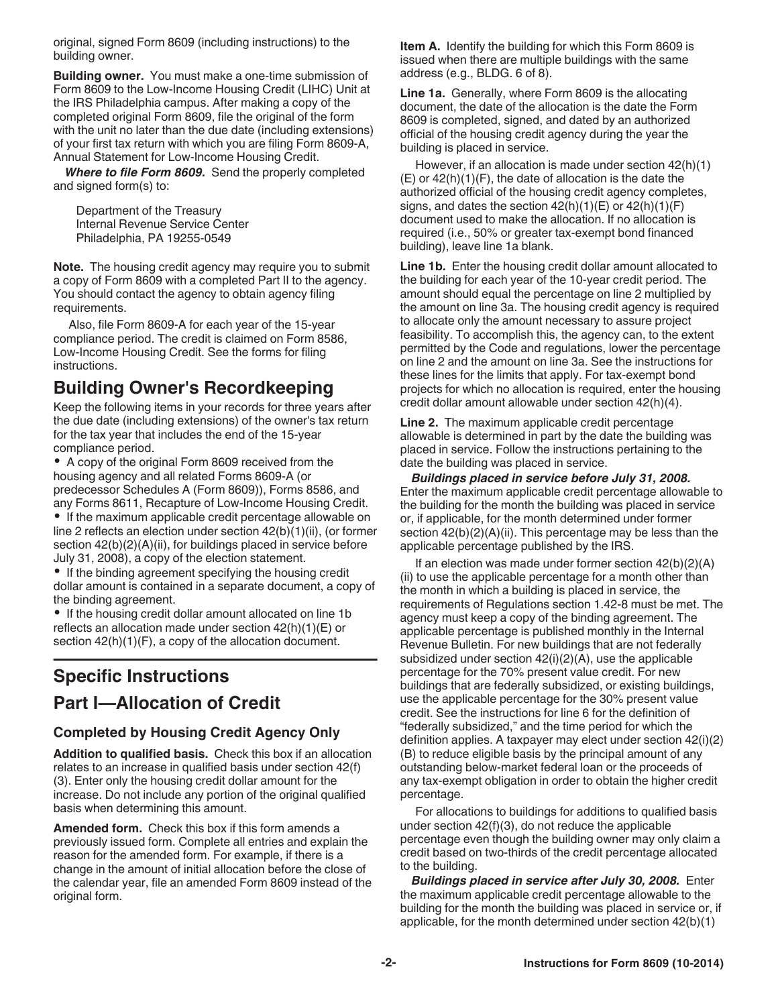original, signed Form 8609 (including instructions) to the building owner.

**Building owner.** You must make a one-time submission of Form 8609 to the Low-Income Housing Credit (LIHC) Unit at the IRS Philadelphia campus. After making a copy of the completed original Form 8609, file the original of the form with the unit no later than the due date (including extensions) of your first tax return with which you are filing Form 8609-A, Annual Statement for Low-Income Housing Credit.

*Where to file Form 8609.* Send the properly completed and signed form(s) to:

Department of the Treasury Internal Revenue Service Center Philadelphia, PA 19255-0549

**Note.** The housing credit agency may require you to submit a copy of Form 8609 with a completed Part II to the agency. You should contact the agency to obtain agency filing requirements.

Also, file Form 8609-A for each year of the 15-year compliance period. The credit is claimed on Form 8586, Low-Income Housing Credit. See the forms for filing instructions.

### **Building Owner's Recordkeeping**

Keep the following items in your records for three years after the due date (including extensions) of the owner's tax return for the tax year that includes the end of the 15-year compliance period.

A copy of the original Form 8609 received from the housing agency and all related Forms 8609-A (or predecessor Schedules A (Form 8609)), Forms 8586, and any Forms 8611, Recapture of Low-Income Housing Credit.

If the maximum applicable credit percentage allowable on line 2 reflects an election under section 42(b)(1)(ii), (or former section  $42(b)(2)(A)(ii)$ , for buildings placed in service before July 31, 2008), a copy of the election statement.

• If the binding agreement specifying the housing credit dollar amount is contained in a separate document, a copy of the binding agreement.

• If the housing credit dollar amount allocated on line 1b reflects an allocation made under section 42(h)(1)(E) or section  $42(h)(1)(F)$ , a copy of the allocation document.

## **Specific Instructions**

## **Part I—Allocation of Credit**

#### **Completed by Housing Credit Agency Only**

**Addition to qualified basis.** Check this box if an allocation relates to an increase in qualified basis under section 42(f) (3). Enter only the housing credit dollar amount for the increase. Do not include any portion of the original qualified basis when determining this amount.

**Amended form.** Check this box if this form amends a previously issued form. Complete all entries and explain the reason for the amended form. For example, if there is a change in the amount of initial allocation before the close of the calendar year, file an amended Form 8609 instead of the original form.

**Item A.** Identify the building for which this Form 8609 is issued when there are multiple buildings with the same address (e.g., BLDG. 6 of 8).

**Line 1a.** Generally, where Form 8609 is the allocating document, the date of the allocation is the date the Form 8609 is completed, signed, and dated by an authorized official of the housing credit agency during the year the building is placed in service.

However, if an allocation is made under section 42(h)(1) (E) or 42(h)(1)(F), the date of allocation is the date the authorized official of the housing credit agency completes, signs, and dates the section  $42(h)(1)(E)$  or  $42(h)(1)(F)$ document used to make the allocation. If no allocation is required (i.e., 50% or greater tax-exempt bond financed building), leave line 1a blank.

Line 1b. Enter the housing credit dollar amount allocated to the building for each year of the 10-year credit period. The amount should equal the percentage on line 2 multiplied by the amount on line 3a. The housing credit agency is required to allocate only the amount necessary to assure project feasibility. To accomplish this, the agency can, to the extent permitted by the Code and regulations, lower the percentage on line 2 and the amount on line 3a. See the instructions for these lines for the limits that apply. For tax-exempt bond projects for which no allocation is required, enter the housing credit dollar amount allowable under section 42(h)(4).

**Line 2.** The maximum applicable credit percentage allowable is determined in part by the date the building was placed in service. Follow the instructions pertaining to the date the building was placed in service.

*Buildings placed in service before July 31, 2008.*  Enter the maximum applicable credit percentage allowable to the building for the month the building was placed in service or, if applicable, for the month determined under former section 42(b)(2)(A)(ii). This percentage may be less than the applicable percentage published by the IRS.

If an election was made under former section 42(b)(2)(A) (ii) to use the applicable percentage for a month other than the month in which a building is placed in service, the requirements of Regulations section 1.42-8 must be met. The agency must keep a copy of the binding agreement. The applicable percentage is published monthly in the Internal Revenue Bulletin. For new buildings that are not federally subsidized under section 42(i)(2)(A), use the applicable percentage for the 70% present value credit. For new buildings that are federally subsidized, or existing buildings, use the applicable percentage for the 30% present value credit. See the instructions for line 6 for the definition of "federally subsidized," and the time period for which the definition applies. A taxpayer may elect under section 42(i)(2) (B) to reduce eligible basis by the principal amount of any outstanding below-market federal loan or the proceeds of any tax-exempt obligation in order to obtain the higher credit percentage.

For allocations to buildings for additions to qualified basis under section 42(f)(3), do not reduce the applicable percentage even though the building owner may only claim a credit based on two-thirds of the credit percentage allocated to the building.

**Buildings placed in service after July 30, 2008. Enter** the maximum applicable credit percentage allowable to the building for the month the building was placed in service or, if applicable, for the month determined under section 42(b)(1)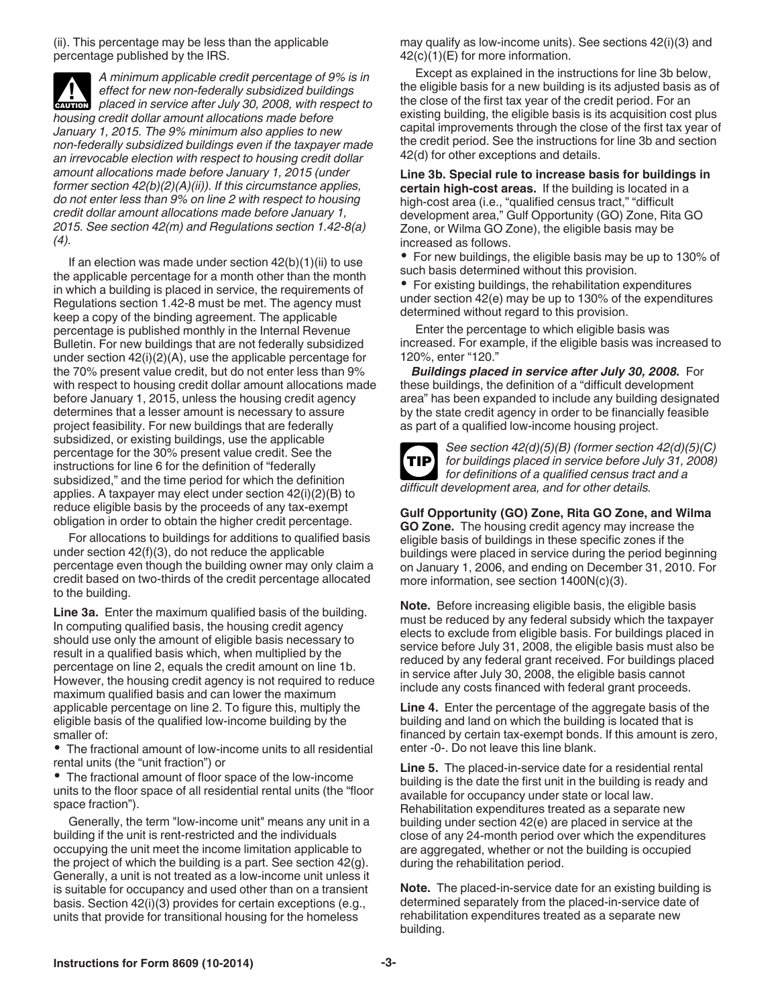(ii). This percentage may be less than the applicable percentage published by the IRS.

*A minimum applicable credit percentage of 9% is in effect for new non-federally subsidized buildings*  effect for new non-federally subsidized buildings<br>
placed in service after July 30, 2008, with respect to *housing credit dollar amount allocations made before January 1, 2015. The 9% minimum also applies to new non-federally subsidized buildings even if the taxpayer made an irrevocable election with respect to housing credit dollar amount allocations made before January 1, 2015 (under former section 42(b)(2)(A)(ii)). If this circumstance applies, do not enter less than 9% on line 2 with respect to housing credit dollar amount allocations made before January 1, 2015. See section 42(m) and Regulations section 1.42-8(a) (4).*

If an election was made under section  $42(b)(1)(ii)$  to use the applicable percentage for a month other than the month in which a building is placed in service, the requirements of Regulations section 1.42-8 must be met. The agency must keep a copy of the binding agreement. The applicable percentage is published monthly in the Internal Revenue Bulletin. For new buildings that are not federally subsidized under section  $42(i)(2)(A)$ , use the applicable percentage for the 70% present value credit, but do not enter less than 9% with respect to housing credit dollar amount allocations made before January 1, 2015, unless the housing credit agency determines that a lesser amount is necessary to assure project feasibility. For new buildings that are federally subsidized, or existing buildings, use the applicable percentage for the 30% present value credit. See the instructions for line 6 for the definition of "federally subsidized," and the time period for which the definition applies. A taxpayer may elect under section 42(i)(2)(B) to reduce eligible basis by the proceeds of any tax-exempt obligation in order to obtain the higher credit percentage.

For allocations to buildings for additions to qualified basis under section 42(f)(3), do not reduce the applicable percentage even though the building owner may only claim a credit based on two-thirds of the credit percentage allocated to the building.

**Line 3a.** Enter the maximum qualified basis of the building. In computing qualified basis, the housing credit agency should use only the amount of eligible basis necessary to result in a qualified basis which, when multiplied by the percentage on line 2, equals the credit amount on line 1b. However, the housing credit agency is not required to reduce maximum qualified basis and can lower the maximum applicable percentage on line 2. To figure this, multiply the eligible basis of the qualified low-income building by the smaller of:

The fractional amount of low-income units to all residential rental units (the "unit fraction") or

The fractional amount of floor space of the low-income units to the floor space of all residential rental units (the "floor space fraction").

Generally, the term "low-income unit" means any unit in a building if the unit is rent-restricted and the individuals occupying the unit meet the income limitation applicable to the project of which the building is a part. See section 42(g). Generally, a unit is not treated as a low-income unit unless it is suitable for occupancy and used other than on a transient basis. Section 42(i)(3) provides for certain exceptions (e.g., units that provide for transitional housing for the homeless

may qualify as low-income units). See sections 42(i)(3) and 42(c)(1)(E) for more information.

Except as explained in the instructions for line 3b below, the eligible basis for a new building is its adjusted basis as of the close of the first tax year of the credit period. For an existing building, the eligible basis is its acquisition cost plus capital improvements through the close of the first tax year of the credit period. See the instructions for line 3b and section 42(d) for other exceptions and details.

**Line 3b. Special rule to increase basis for buildings in certain high-cost areas.** If the building is located in a high-cost area (i.e., "qualified census tract," "difficult development area," Gulf Opportunity (GO) Zone, Rita GO Zone, or Wilma GO Zone), the eligible basis may be increased as follows.

For new buildings, the eligible basis may be up to 130% of such basis determined without this provision.

• For existing buildings, the rehabilitation expenditures under section 42(e) may be up to 130% of the expenditures determined without regard to this provision.

Enter the percentage to which eligible basis was increased. For example, if the eligible basis was increased to 120%, enter "120."

*Buildings placed in service after July 30, 2008.* For these buildings, the definition of a "difficult development area" has been expanded to include any building designated by the state credit agency in order to be financially feasible as part of a qualified low-income housing project.



*See section 42(d)(5)(B) (former section 42(d)(5)(C) for buildings placed in service before July 31, 2008) for definitions of a qualified census tract and a difficult development area, and for other details.*

**Gulf Opportunity (GO) Zone, Rita GO Zone, and Wilma GO Zone.** The housing credit agency may increase the eligible basis of buildings in these specific zones if the buildings were placed in service during the period beginning on January 1, 2006, and ending on December 31, 2010. For more information, see section 1400N(c)(3).

**Note.** Before increasing eligible basis, the eligible basis must be reduced by any federal subsidy which the taxpayer elects to exclude from eligible basis. For buildings placed in service before July 31, 2008, the eligible basis must also be reduced by any federal grant received. For buildings placed in service after July 30, 2008, the eligible basis cannot include any costs financed with federal grant proceeds.

**Line 4.** Enter the percentage of the aggregate basis of the building and land on which the building is located that is financed by certain tax-exempt bonds. If this amount is zero, enter -0-. Do not leave this line blank.

**Line 5.** The placed-in-service date for a residential rental building is the date the first unit in the building is ready and available for occupancy under state or local law. Rehabilitation expenditures treated as a separate new building under section 42(e) are placed in service at the close of any 24-month period over which the expenditures are aggregated, whether or not the building is occupied during the rehabilitation period.

**Note.** The placed-in-service date for an existing building is determined separately from the placed-in-service date of rehabilitation expenditures treated as a separate new building.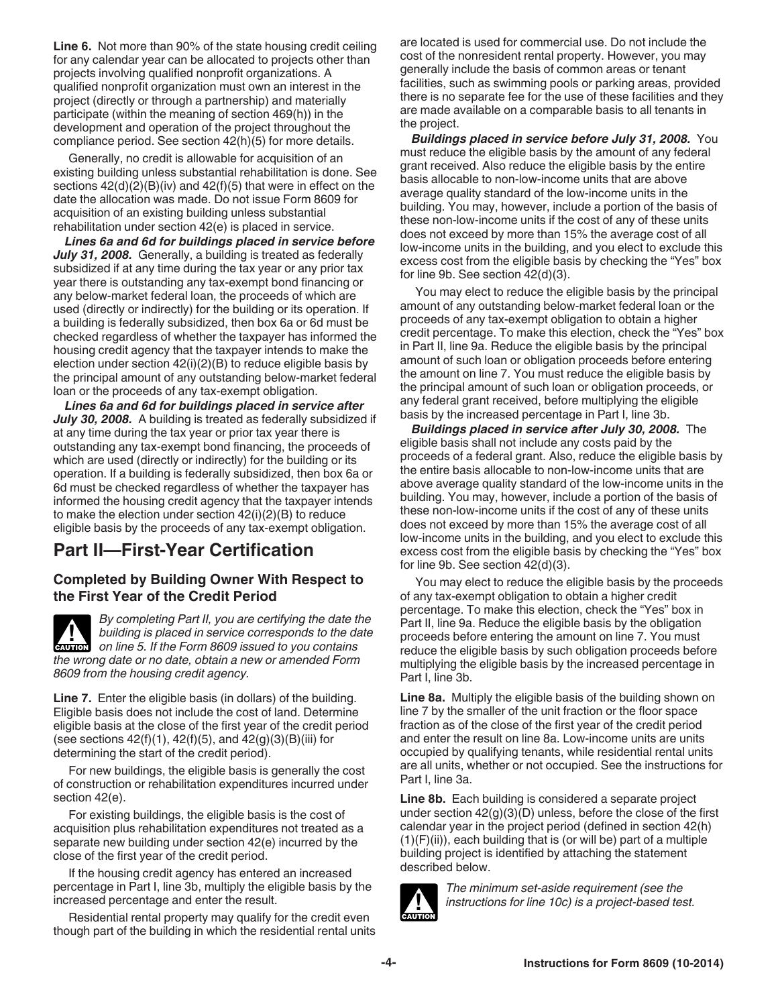**Line 6.** Not more than 90% of the state housing credit ceiling for any calendar year can be allocated to projects other than projects involving qualified nonprofit organizations. A qualified nonprofit organization must own an interest in the project (directly or through a partnership) and materially participate (within the meaning of section 469(h)) in the development and operation of the project throughout the compliance period. See section 42(h)(5) for more details.

Generally, no credit is allowable for acquisition of an existing building unless substantial rehabilitation is done. See sections 42(d)(2)(B)(iv) and 42(f)(5) that were in effect on the date the allocation was made. Do not issue Form 8609 for acquisition of an existing building unless substantial rehabilitation under section 42(e) is placed in service.

*Lines 6a and 6d for buildings placed in service before*  July 31, 2008. Generally, a building is treated as federally subsidized if at any time during the tax year or any prior tax year there is outstanding any tax-exempt bond financing or any below-market federal loan, the proceeds of which are used (directly or indirectly) for the building or its operation. If a building is federally subsidized, then box 6a or 6d must be checked regardless of whether the taxpayer has informed the housing credit agency that the taxpayer intends to make the election under section 42(i)(2)(B) to reduce eligible basis by the principal amount of any outstanding below-market federal loan or the proceeds of any tax-exempt obligation.

*Lines 6a and 6d for buildings placed in service after July 30, 2008.* A building is treated as federally subsidized if at any time during the tax year or prior tax year there is outstanding any tax-exempt bond financing, the proceeds of which are used (directly or indirectly) for the building or its operation. If a building is federally subsidized, then box 6a or 6d must be checked regardless of whether the taxpayer has informed the housing credit agency that the taxpayer intends to make the election under section  $42(i)(2)(B)$  to reduce eligible basis by the proceeds of any tax-exempt obligation.

### **Part II—First-Year Certification**

#### **Completed by Building Owner With Respect to the First Year of the Credit Period**

*By completing Part II, you are certifying the date the building is placed in service corresponds to the date*  **building is placed in service corresponds to the data on line 5. If the Form 8609 issued to you contains** *the wrong date or no date, obtain a new or amended Form 8609 from the housing credit agency.*

**Line 7.** Enter the eligible basis (in dollars) of the building. Eligible basis does not include the cost of land. Determine eligible basis at the close of the first year of the credit period (see sections  $42(f)(1)$ ,  $42(f)(5)$ , and  $42(g)(3)(B)(iii)$  for determining the start of the credit period).

For new buildings, the eligible basis is generally the cost of construction or rehabilitation expenditures incurred under section 42(e).

For existing buildings, the eligible basis is the cost of acquisition plus rehabilitation expenditures not treated as a separate new building under section 42(e) incurred by the close of the first year of the credit period.

If the housing credit agency has entered an increased percentage in Part I, line 3b, multiply the eligible basis by the increased percentage and enter the result.

Residential rental property may qualify for the credit even though part of the building in which the residential rental units are located is used for commercial use. Do not include the cost of the nonresident rental property. However, you may generally include the basis of common areas or tenant facilities, such as swimming pools or parking areas, provided there is no separate fee for the use of these facilities and they are made available on a comparable basis to all tenants in the project.

*Buildings placed in service before July 31, 2008.* You must reduce the eligible basis by the amount of any federal grant received. Also reduce the eligible basis by the entire basis allocable to non-low-income units that are above average quality standard of the low-income units in the building. You may, however, include a portion of the basis of these non-low-income units if the cost of any of these units does not exceed by more than 15% the average cost of all low-income units in the building, and you elect to exclude this excess cost from the eligible basis by checking the "Yes" box for line 9b. See section 42(d)(3).

You may elect to reduce the eligible basis by the principal amount of any outstanding below-market federal loan or the proceeds of any tax-exempt obligation to obtain a higher credit percentage. To make this election, check the "Yes" box in Part II, line 9a. Reduce the eligible basis by the principal amount of such loan or obligation proceeds before entering the amount on line 7. You must reduce the eligible basis by the principal amount of such loan or obligation proceeds, or any federal grant received, before multiplying the eligible basis by the increased percentage in Part I, line 3b.

*Buildings placed in service after July 30, 2008. The* eligible basis shall not include any costs paid by the proceeds of a federal grant. Also, reduce the eligible basis by the entire basis allocable to non-low-income units that are above average quality standard of the low-income units in the building. You may, however, include a portion of the basis of these non-low-income units if the cost of any of these units does not exceed by more than 15% the average cost of all low-income units in the building, and you elect to exclude this excess cost from the eligible basis by checking the "Yes" box for line 9b. See section 42(d)(3).

You may elect to reduce the eligible basis by the proceeds of any tax-exempt obligation to obtain a higher credit percentage. To make this election, check the "Yes" box in Part II, line 9a. Reduce the eligible basis by the obligation proceeds before entering the amount on line 7. You must reduce the eligible basis by such obligation proceeds before multiplying the eligible basis by the increased percentage in Part I, line 3b.

**Line 8a.** Multiply the eligible basis of the building shown on line 7 by the smaller of the unit fraction or the floor space fraction as of the close of the first year of the credit period and enter the result on line 8a. Low-income units are units occupied by qualifying tenants, while residential rental units are all units, whether or not occupied. See the instructions for Part I, line 3a.

**Line 8b.** Each building is considered a separate project under section 42(g)(3)(D) unless, before the close of the first calendar year in the project period (defined in section 42(h)  $(1)(F)(ii)$ , each building that is (or will be) part of a multiple building project is identified by attaching the statement described below.



*The minimum set-aside requirement (see the instructions for line 10c) is a project-based test.*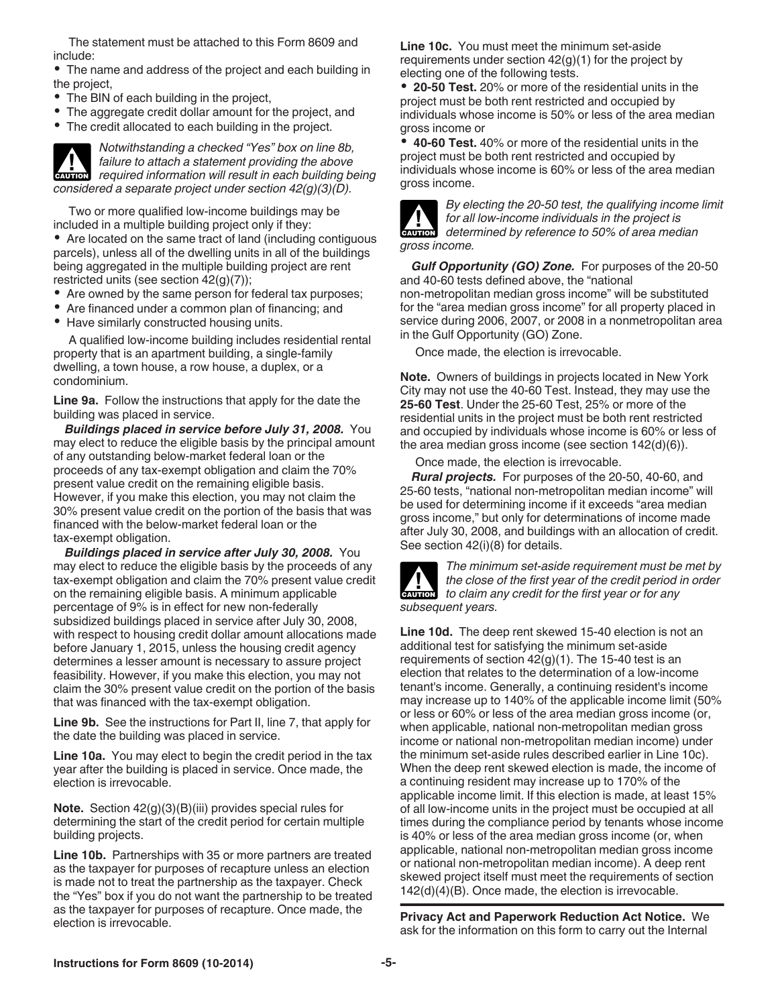The statement must be attached to this Form 8609 and include:

The name and address of the project and each building in the project,

- The BIN of each building in the project,
- The aggregate credit dollar amount for the project, and
- The credit allocated to each building in the project.

*Notwithstanding a checked "Yes" box on line 8b, failure to attach a statement providing the above required information will result in each building being information will result in each building being considered a separate project under section 42(g)(3)(D).*

Two or more qualified low-income buildings may be included in a multiple building project only if they:

Are located on the same tract of land (including contiguous parcels), unless all of the dwelling units in all of the buildings being aggregated in the multiple building project are rent restricted units (see section 42(g)(7));

- Are owned by the same person for federal tax purposes;
- Are financed under a common plan of financing; and
- Have similarly constructed housing units.

A qualified low-income building includes residential rental property that is an apartment building, a single-family dwelling, a town house, a row house, a duplex, or a condominium.

**Line 9a.** Follow the instructions that apply for the date the building was placed in service.

**Buildings placed in service before July 31, 2008.** You may elect to reduce the eligible basis by the principal amount of any outstanding below-market federal loan or the proceeds of any tax-exempt obligation and claim the 70% present value credit on the remaining eligible basis. However, if you make this election, you may not claim the 30% present value credit on the portion of the basis that was financed with the below-market federal loan or the tax-exempt obligation.

*Buildings placed in service after July 30, 2008.* You may elect to reduce the eligible basis by the proceeds of any tax-exempt obligation and claim the 70% present value credit on the remaining eligible basis. A minimum applicable percentage of 9% is in effect for new non-federally subsidized buildings placed in service after July 30, 2008, with respect to housing credit dollar amount allocations made before January 1, 2015, unless the housing credit agency determines a lesser amount is necessary to assure project feasibility. However, if you make this election, you may not claim the 30% present value credit on the portion of the basis that was financed with the tax-exempt obligation.

**Line 9b.** See the instructions for Part II, line 7, that apply for the date the building was placed in service.

**Line 10a.** You may elect to begin the credit period in the tax year after the building is placed in service. Once made, the election is irrevocable.

**Note.** Section 42(g)(3)(B)(iii) provides special rules for determining the start of the credit period for certain multiple building projects.

**Line 10b.** Partnerships with 35 or more partners are treated as the taxpayer for purposes of recapture unless an election is made not to treat the partnership as the taxpayer. Check the "Yes" box if you do not want the partnership to be treated as the taxpayer for purposes of recapture. Once made, the election is irrevocable.

**Line 10c.** You must meet the minimum set-aside requirements under section  $42<sub>(g)</sub>(1)$  for the project by electing one of the following tests.

**20-50 Test.** 20% or more of the residential units in the project must be both rent restricted and occupied by individuals whose income is 50% or less of the area median gross income or

**40-60 Test.** 40% or more of the residential units in the project must be both rent restricted and occupied by individuals whose income is 60% or less of the area median gross income.



*By electing the 20-50 test, the qualifying income limit for all low-income individuals in the project is*  **determined by reference to 50% of area median** *determined by reference to 50% of area median gross income.*

*Gulf Opportunity (GO) Zone.* For purposes of the 20-50 and 40-60 tests defined above, the "national non-metropolitan median gross income" will be substituted for the "area median gross income" for all property placed in service during 2006, 2007, or 2008 in a nonmetropolitan area in the Gulf Opportunity (GO) Zone.

Once made, the election is irrevocable.

**Note.** Owners of buildings in projects located in New York City may not use the 40-60 Test. Instead, they may use the **25-60 Test**. Under the 25-60 Test, 25% or more of the residential units in the project must be both rent restricted and occupied by individuals whose income is 60% or less of the area median gross income (see section 142(d)(6)).

Once made, the election is irrevocable.

*Rural projects.* For purposes of the 20-50, 40-60, and 25-60 tests, "national non-metropolitan median income" will be used for determining income if it exceeds "area median gross income," but only for determinations of income made after July 30, 2008, and buildings with an allocation of credit. See section 42(i)(8) for details.



*The minimum set-aside requirement must be met by the close of the first year of the credit period in order*  **h** the close of the first year of the credit period is to claim any credit for the first year or for any *subsequent years.*

**Line 10d.** The deep rent skewed 15-40 election is not an additional test for satisfying the minimum set-aside requirements of section  $42<sub>(g)</sub>(1)$ . The 15-40 test is an election that relates to the determination of a low-income tenant's income. Generally, a continuing resident's income may increase up to 140% of the applicable income limit (50% or less or 60% or less of the area median gross income (or, when applicable, national non-metropolitan median gross income or national non-metropolitan median income) under the minimum set-aside rules described earlier in Line 10c). When the deep rent skewed election is made, the income of a continuing resident may increase up to 170% of the applicable income limit. If this election is made, at least 15% of all low-income units in the project must be occupied at all times during the compliance period by tenants whose income is 40% or less of the area median gross income (or, when applicable, national non-metropolitan median gross income or national non-metropolitan median income). A deep rent skewed project itself must meet the requirements of section 142(d)(4)(B). Once made, the election is irrevocable.

**Privacy Act and Paperwork Reduction Act Notice.** We ask for the information on this form to carry out the Internal